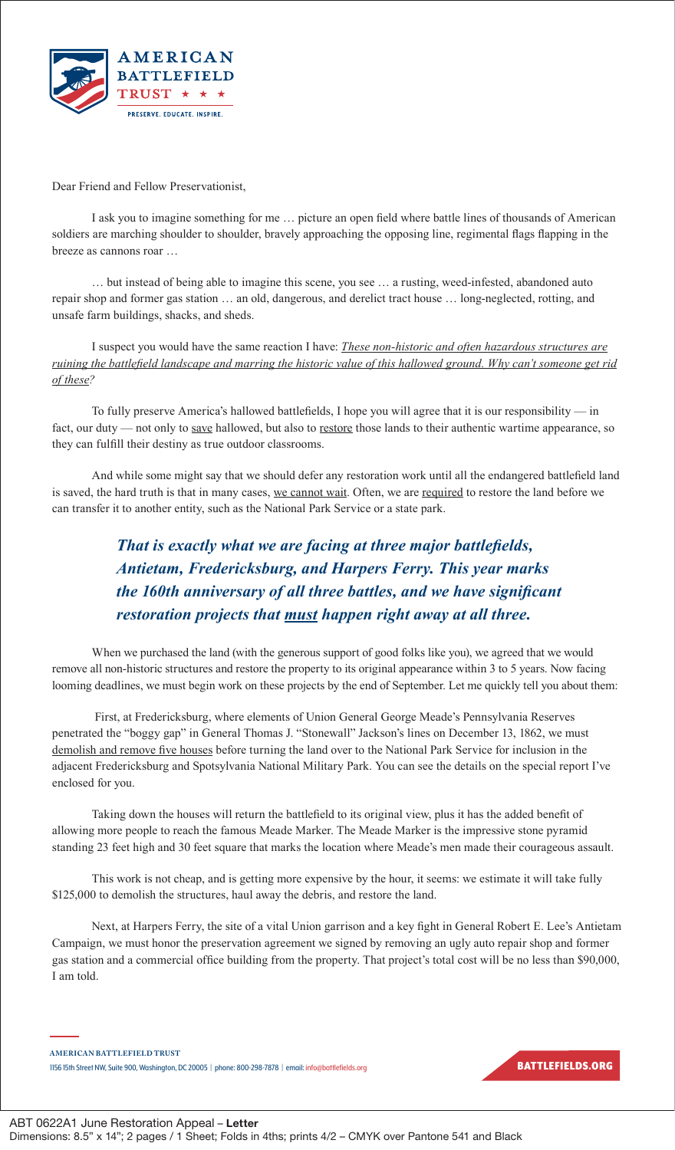

Dear Friend and Fellow Preservationist,

I ask you to imagine something for me … picture an open field where battle lines of thousands of American soldiers are marching shoulder to shoulder, bravely approaching the opposing line, regimental flags flapping in the breeze as cannons roar …

… but instead of being able to imagine this scene, you see … a rusting, weed-infested, abandoned auto repair shop and former gas station … an old, dangerous, and derelict tract house … long-neglected, rotting, and unsafe farm buildings, shacks, and sheds.

I suspect you would have the same reaction I have: *These non-historic and often hazardous structures are ruining the battlefield landscape and marring the historic value of this hallowed ground. Why can't someone get rid of these?*

To fully preserve America's hallowed battlefields, I hope you will agree that it is our responsibility — in fact, our duty — not only to save hallowed, but also to restore those lands to their authentic wartime appearance, so they can fulfill their destiny as true outdoor classrooms.

And while some might say that we should defer any restoration work until all the endangered battlefield land is saved, the hard truth is that in many cases, we cannot wait. Often, we are required to restore the land before we can transfer it to another entity, such as the National Park Service or a state park.

## *That is exactly what we are facing at three major battlefields, Antietam, Fredericksburg, and Harpers Ferry. This year marks the 160th anniversary of all three battles, and we have significant restoration projects that must happen right away at all three.*

When we purchased the land (with the generous support of good folks like you), we agreed that we would remove all non-historic structures and restore the property to its original appearance within 3 to 5 years. Now facing looming deadlines, we must begin work on these projects by the end of September. Let me quickly tell you about them:

 First, at Fredericksburg, where elements of Union General George Meade's Pennsylvania Reserves penetrated the "boggy gap" in General Thomas J. "Stonewall" Jackson's lines on December 13, 1862, we must demolish and remove five houses before turning the land over to the National Park Service for inclusion in the adjacent Fredericksburg and Spotsylvania National Military Park. You can see the details on the special report I've enclosed for you.

Taking down the houses will return the battlefield to its original view, plus it has the added benefit of allowing more people to reach the famous Meade Marker. The Meade Marker is the impressive stone pyramid standing 23 feet high and 30 feet square that marks the location where Meade's men made their courageous assault.

This work is not cheap, and is getting more expensive by the hour, it seems: we estimate it will take fully \$125,000 to demolish the structures, haul away the debris, and restore the land.

Next, at Harpers Ferry, the site of a vital Union garrison and a key fight in General Robert E. Lee's Antietam Campaign, we must honor the preservation agreement we signed by removing an ugly auto repair shop and former gas station and a commercial office building from the property. That project's total cost will be no less than \$90,000, I am told.